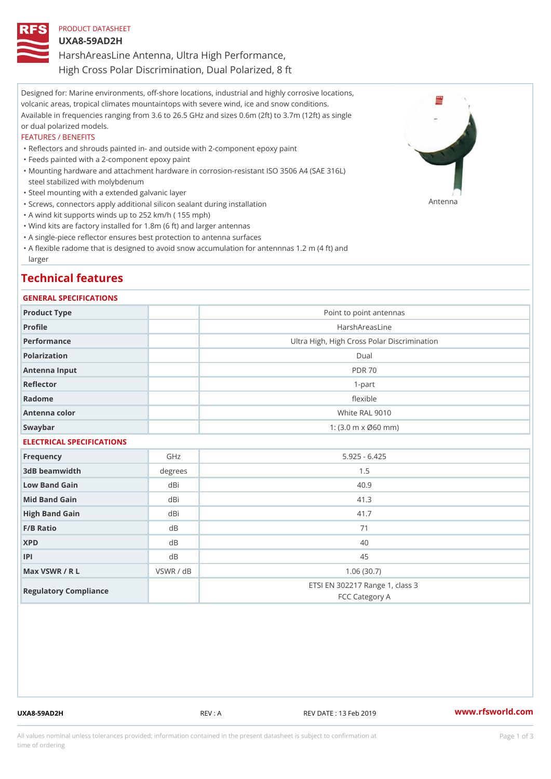## PRODUCT DATASHEET UXA8-59AD2H HarshAreasLine Antenna, Ultra High Performance, High Cross Polar Discrimination, Dual Polarized, 8 ft

Designed for: Marine environments, off-shore locations, industrial and highly corrosive locations, volcanic areas, tropical climates mountaintops with severe wind, ice and snow conditions. Available in frequencies ranging from 3.6 to 26.5 GHz and sizes 0.6m (2ft) to 3.7m (12ft) as single or dual polarized models.

## FEATURES / BENEFITS

"Reflectors and shrouds painted in- and outside with 2-component epoxy paint

- "Feeds painted with a 2-component epoxy paint
- Mounting hardware and attachment hardware in corrosion-resistant ISO 3506 A4 (SAE 316L) " steel stabilized with molybdenum
- "Steel mounting with a extended galvanic layer
- "Screws, connectors apply additional silicon sealant during installation Antenna
- "A wind kit supports winds up to 252 km/h ( 155 mph)
- "Wind kits are factory installed for 1.8m (6 ft) and larger antennas
- "A single-piece reflector ensures best protection to antenna surfaces
- "A flexible radome that is designed to avoid snow accumulation for antennnas 1.2 m (4 ft) and larger

## Technical features

### GENERAL SPECIFICATIONS

| Product Type              |           | Point to point antennas                                 |  |  |  |
|---------------------------|-----------|---------------------------------------------------------|--|--|--|
| Profile                   |           | HarshAreasLine                                          |  |  |  |
| Performance               |           | Ultra High, High Cross Polar Discrimination             |  |  |  |
| Polarization              |           | Dual                                                    |  |  |  |
| Antenna Input             |           | <b>PDR 70</b>                                           |  |  |  |
| Reflector                 |           | $1 - p$ art                                             |  |  |  |
| Radome                    |           | flexible                                                |  |  |  |
| Antenna color             |           | White RAL 9010                                          |  |  |  |
| Swaybar                   |           | 1: $(3.0 \, \text{m} \times \emptyset 60 \, \text{mm})$ |  |  |  |
| ELECTRICAL SPECIFICATIONS |           |                                                         |  |  |  |
| Frequency                 | GHz       | $5.925 - 6.425$                                         |  |  |  |
| 3dB beamwidth             | degrees   | 1.5                                                     |  |  |  |
| Low Band Gain             | dBi       | 40.9                                                    |  |  |  |
| Mid Band Gain             | dBi       | 41.3                                                    |  |  |  |
| High Band Gain            | dBi       | 41.7                                                    |  |  |  |
| $F/B$ Ratio               | $d$ B     | 71                                                      |  |  |  |
| <b>XPD</b>                | d B       | 40                                                      |  |  |  |
| P                         | $d$ B     | 45                                                      |  |  |  |
| Max VSWR / R L            | VSWR / dB | 1.06(30.7)                                              |  |  |  |
| Regulatory Compliance     |           | ETSI EN 302217 Range 1, class 3<br>FCC Category A       |  |  |  |

UXA8-59AD2H REV : A REV DATE : 13 Feb 2019 [www.](https://www.rfsworld.com)rfsworld.com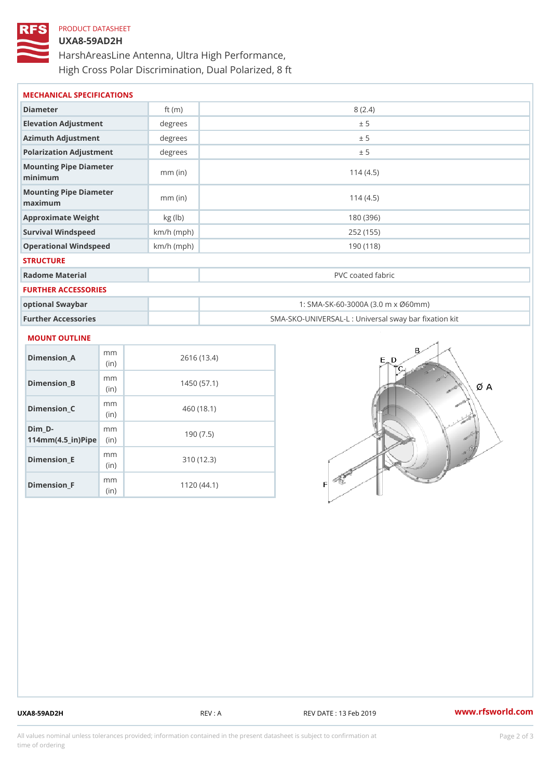## PRODUCT DATASHEET

# UXA8-59AD2H HarshAreasLine Antenna, Ultra High Performance, High Cross Polar Discrimination, Dual Polarized, 8 ft

| MECHANICAL SPECIFICATIONS                     |              |                                                   |
|-----------------------------------------------|--------------|---------------------------------------------------|
| Diameter                                      | ft $(m)$     | 8(2.4)                                            |
| Elevation Adjustment                          | degree       | ± 5                                               |
| Azimuth Adjustment                            | degree       | ± 5                                               |
| Polarization Adjustment                       | degree       | ± 5                                               |
| Mounting Pipe Diameter<br>minima              | $mm$ (in)    | 114(4.5)                                          |
| Mounting Pipe Diameter<br>$m$ a x i $m$ u $m$ | $mm$ (in)    | 114(4.5)                                          |
| Approximate Weight                            | kg (lb)      | 180 (396)                                         |
| Survival Windspeed                            | $km/h$ (mph) | 252 (155)                                         |
| Operational Windspeed                         | $km/h$ (mph) | 190 (118)                                         |
| <b>STRUCTURE</b>                              |              |                                                   |
| Radome Material                               |              | PVC coated fabric                                 |
| FURTHER ACCESSORIES                           |              |                                                   |
| optional Swaybar                              |              | 1: SMA-SK-60-3000A (3.0 m x Ø60mm)                |
| Further Accessories                           |              | SMA-SKO-UNIVERSAL-L : Universal sway bar fixation |

# MOUNT OUTLINE

| Dimension A                                     | m m<br>(in)  | 2616 (13.4) |
|-------------------------------------------------|--------------|-------------|
| Dimension B                                     | m m<br>(in)  | 1450 (57.1) |
| Dimension C                                     | m m<br>(in)  | 460 (18.1)  |
| Dim D-<br>$114$ m m (4.5 _ i r ) $\sqrt{$ imple | m m          | 190(7.5)    |
| Dimension E                                     | m m<br>(i n) | 310(12.3)   |
| Dimension <sub>_F</sub>                         | m m<br>(in)  | 1120(44.1)  |

UXA8-59AD2H REV : A REV DATE : 13 Feb 2019 [www.](https://www.rfsworld.com)rfsworld.com